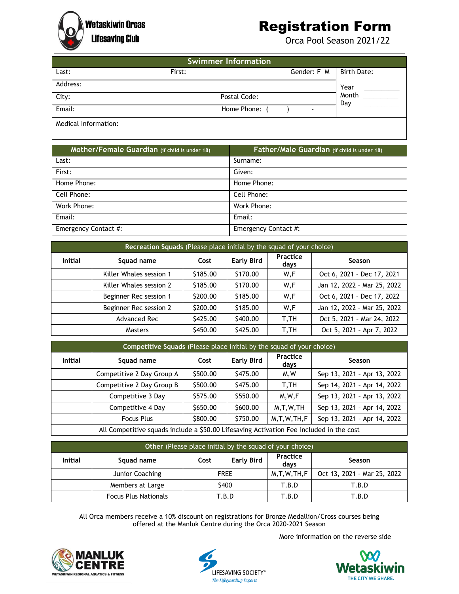## **Wetaskiwin Orcas**

## Registration Form

Lifesaving Club **Contract Contract Contract Contract Contract Contract Contract Contract Contract Contract Contract Contract Contract Contract Contract Contract Contract Contract Contract Contract Contract Contract Contrac** 

| <b>Swimmer Information</b> |               |                          |                    |  |
|----------------------------|---------------|--------------------------|--------------------|--|
| Last:                      | First:        | Gender: F M              | <b>Birth Date:</b> |  |
| Address:                   |               |                          | Year               |  |
| City:                      | Postal Code:  |                          | Month<br>Day       |  |
| Email:                     | Home Phone: ( | $\overline{\phantom{a}}$ |                    |  |
| Medical Information:       |               |                          |                    |  |

| Mother/Female Guardian (if child is under 18) | Father/Male Guardian (if child is under 18) |
|-----------------------------------------------|---------------------------------------------|
| Last:                                         | Surname:                                    |
| First:                                        | Given:                                      |
| Home Phone:                                   | Home Phone:                                 |
| Cell Phone:                                   | Cell Phone:                                 |
| Work Phone:                                   | Work Phone:                                 |
| Email:                                        | Email:                                      |
| Emergency Contact #:                          | Emergency Contact #:                        |

| Recreation Squads (Please place initial by the squad of your choice) |                         |          |                   |                  |                             |
|----------------------------------------------------------------------|-------------------------|----------|-------------------|------------------|-----------------------------|
| Initial                                                              | Squad name              | Cost     | <b>Early Bird</b> | Practice<br>days | Season                      |
|                                                                      | Killer Whales session 1 | \$185.00 | \$170.00          | W,F              | Oct 6, 2021 - Dec 17, 2021  |
|                                                                      | Killer Whales session 2 | \$185.00 | \$170.00          | W,F              | Jan 12, 2022 - Mar 25, 2022 |
|                                                                      | Beginner Rec session 1  | \$200.00 | \$185.00          | W,F              | Oct 6, 2021 - Dec 17, 2022  |
|                                                                      | Beginner Rec session 2  | \$200.00 | \$185.00          | W,F              | Jan 12, 2022 - Mar 25, 2022 |
|                                                                      | Advanced Rec            | \$425.00 | \$400.00          | T,TH             | Oct 5, 2021 - Mar 24, 2022  |
|                                                                      | <b>Masters</b>          | \$450.00 | \$425.00          | T,TH             | Oct 5, 2021 - Apr 7, 2022   |

| Competitive Squads (Please place initial by the squad of your choice)                   |                           |          |                   |                  |                             |
|-----------------------------------------------------------------------------------------|---------------------------|----------|-------------------|------------------|-----------------------------|
| <b>Initial</b>                                                                          | Squad name                | Cost     | <b>Early Bird</b> | Practice<br>days | <b>Season</b>               |
|                                                                                         | Competitive 2 Day Group A | \$500.00 | \$475.00          | M.W              | Sep 13, 2021 - Apr 13, 2022 |
|                                                                                         | Competitive 2 Day Group B | \$500.00 | \$475.00          | T.TH             | Sep 14, 2021 - Apr 14, 2022 |
|                                                                                         | Competitive 3 Day         | \$575.00 | \$550.00          | M.W.F            | Sep 13, 2021 - Apr 13, 2022 |
|                                                                                         | Competitive 4 Day         | \$650.00 | \$600.00          | M, T, W, TH      | Sep 13, 2021 - Apr 14, 2022 |
|                                                                                         | <b>Focus Plus</b>         | \$800.00 | \$750.00          | M, T, W, TH, F   | Sep 13, 2021 - Apr 14, 2022 |
| All Competitive squads include a \$50.00 Lifesaving Activation Fee included in the cost |                           |          |                   |                  |                             |

**Other** (Please place initial by the squad of your choice)

| Initial | Squad name                  | Cost        | Early Bird | <b>Practice</b><br>davs | Season                      |
|---------|-----------------------------|-------------|------------|-------------------------|-----------------------------|
|         | Junior Coaching             | <b>FREE</b> |            | M.T.W.TH.F              | Oct 13, 2021 - Mar 25, 2022 |
|         | Members at Large            | \$400       |            | T.B.D                   | T.B.D                       |
|         | <b>Focus Plus Nationals</b> | T.B.D       |            | T.B.D                   | T.B.D                       |

All Orca members receive a 10% discount on registrations for Bronze Medallion/Cross courses being offered at the Manluk Centre during the Orca 2020-2021 Season







More information on the reverse side